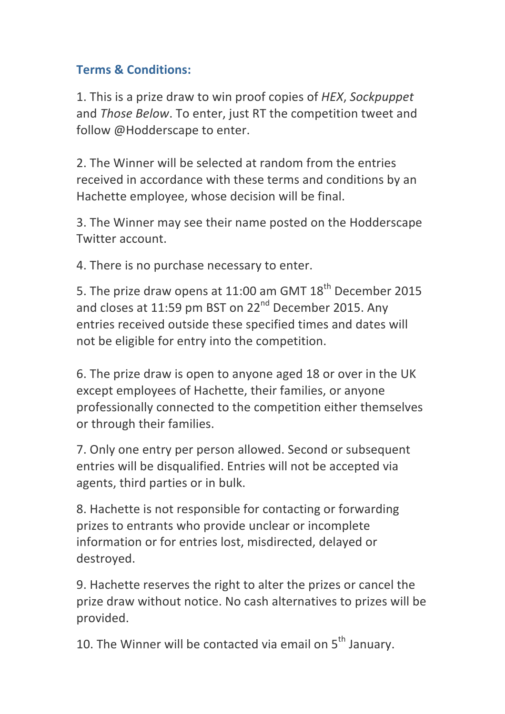## **Terms & Conditions:**

1. This is a prize draw to win proof copies of HEX, Sockpuppet and *Those Below*. To enter, just RT the competition tweet and follow @Hodderscape to enter.

2. The Winner will be selected at random from the entries received in accordance with these terms and conditions by an Hachette employee, whose decision will be final.

3. The Winner may see their name posted on the Hodderscape Twitter account.

4. There is no purchase necessary to enter.

5. The prize draw opens at 11:00 am GMT 18<sup>th</sup> December 2015 and closes at 11:59 pm BST on 22<sup>nd</sup> December 2015. Any entries received outside these specified times and dates will not be eligible for entry into the competition.

6. The prize draw is open to anyone aged 18 or over in the UK except employees of Hachette, their families, or anyone professionally connected to the competition either themselves or through their families.

7. Only one entry per person allowed. Second or subsequent entries will be disqualified. Entries will not be accepted via agents, third parties or in bulk.

8. Hachette is not responsible for contacting or forwarding prizes to entrants who provide unclear or incomplete information or for entries lost, misdirected, delayed or destroyed.

9. Hachette reserves the right to alter the prizes or cancel the prize draw without notice. No cash alternatives to prizes will be provided.

10. The Winner will be contacted via email on  $5<sup>th</sup>$  January.